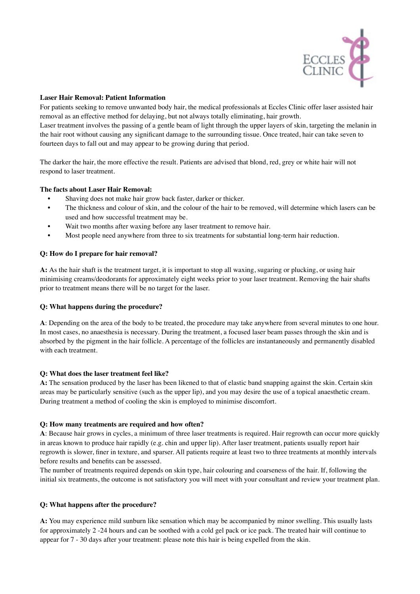

## **Laser Hair Removal: Patient Information**

For patients seeking to remove unwanted body hair, the medical professionals at Eccles Clinic offer laser assisted hair removal as an effective method for delaying, but not always totally eliminating, hair growth.

Laser treatment involves the passing of a gentle beam of light through the upper layers of skin, targeting the melanin in the hair root without causing any significant damage to the surrounding tissue. Once treated, hair can take seven to fourteen days to fall out and may appear to be growing during that period.

The darker the hair, the more effective the result. Patients are advised that blond, red, grey or white hair will not respond to laser treatment.

### **The facts about Laser Hair Removal:**

- Shaving does not make hair grow back faster, darker or thicker.
- The thickness and colour of skin, and the colour of the hair to be removed, will determine which lasers can be used and how successful treatment may be.
- Wait two months after waxing before any laser treatment to remove hair.
- Most people need anywhere from three to six treatments for substantial long-term hair reduction.

### **Q: How do I prepare for hair removal?**

**A:** As the hair shaft is the treatment target, it is important to stop all waxing, sugaring or plucking, or using hair minimising creams/deodorants for approximately eight weeks prior to your laser treatment. Removing the hair shafts prior to treatment means there will be no target for the laser.

### **Q: What happens during the procedure?**

**A**: Depending on the area of the body to be treated, the procedure may take anywhere from several minutes to one hour. In most cases, no anaesthesia is necessary. During the treatment, a focused laser beam passes through the skin and is absorbed by the pigment in the hair follicle. A percentage of the follicles are instantaneously and permanently disabled with each treatment.

### **Q: What does the laser treatment feel like?**

**A:** The sensation produced by the laser has been likened to that of elastic band snapping against the skin. Certain skin areas may be particularly sensitive (such as the upper lip), and you may desire the use of a topical anaesthetic cream. During treatment a method of cooling the skin is employed to minimise discomfort.

### **Q: How many treatments are required and how often?**

**A**: Because hair grows in cycles, a minimum of three laser treatments is required. Hair regrowth can occur more quickly in areas known to produce hair rapidly (e.g. chin and upper lip). After laser treatment, patients usually report hair regrowth is slower, finer in texture, and sparser. All patients require at least two to three treatments at monthly intervals before results and benefits can be assessed.

The number of treatments required depends on skin type, hair colouring and coarseness of the hair. If, following the initial six treatments, the outcome is not satisfactory you will meet with your consultant and review your treatment plan.

### **Q: What happens after the procedure?**

**A:** You may experience mild sunburn like sensation which may be accompanied by minor swelling. This usually lasts for approximately 2 -24 hours and can be soothed with a cold gel pack or ice pack. The treated hair will continue to appear for 7 - 30 days after your treatment: please note this hair is being expelled from the skin.